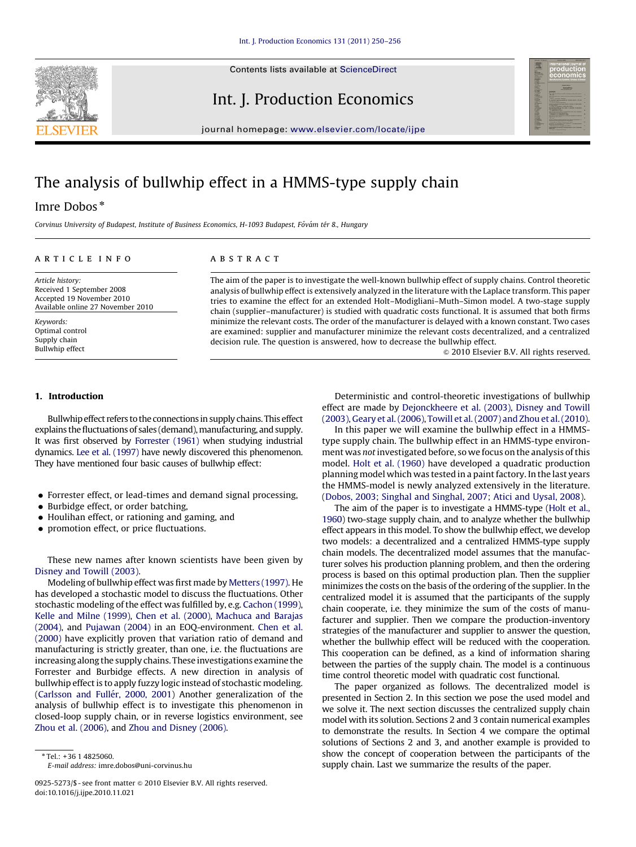

Contents lists available at ScienceDirect

Int. J. Production Economics



journal homepage: <www.elsevier.com/locate/ijpe>

## The analysis of bullwhip effect in a HMMS-type supply chain

### Imre Dobos\*

Corvinus University of Budapest, Institute of Business Economics, H-1093 Budapest, Fővám tér 8., Hungary

#### article info

Article history: Received 1 September 2008 Accepted 19 November 2010 Available online 27 November 2010

Keywords: Optimal control Supply chain Bullwhip effect

#### 1. Introduction

Bullwhip effect refers to the connections in supply chains. This effect explains the fluctuations of sales (demand), manufacturing, and supply. It was first observed by [Forrester \(1961\)](#page--1-0) when studying industrial dynamics. [Lee et al. \(1997\)](#page--1-0) have newly discovered this phenomenon. They have mentioned four basic causes of bullwhip effect:

- Forrester effect, or lead-times and demand signal processing,
- Burbidge effect, or order batching,
- $\bullet$  Houlihan effect, or rationing and gaming, and
- promotion effect, or price fluctuations.

These new names after known scientists have been given by [Disney and Towill \(2003\).](#page--1-0)

Modeling of bullwhip effect was first made by [Metters \(1997\).](#page--1-0) He has developed a stochastic model to discuss the fluctuations. Other stochastic modeling of the effect was fulfilled by, e.g. [Cachon \(1999\),](#page--1-0) [Kelle and Milne \(1999\)](#page--1-0), [Chen et al. \(2000\)](#page--1-0), [Machuca and Barajas](#page--1-0) [\(2004\)](#page--1-0), and [Pujawan \(2004\)](#page--1-0) in an EOQ-environment. [Chen et al.](#page--1-0) [\(2000\)](#page--1-0) have explicitly proven that variation ratio of demand and manufacturing is strictly greater, than one, i.e. the fluctuations are increasing along the supply chains. These investigations examine the Forrester and Burbidge effects. A new direction in analysis of bullwhip effect is to apply fuzzy logic instead of stochastic modeling. (Carlsson and Fullér, 2000, 2001) Another generalization of the analysis of bullwhip effect is to investigate this phenomenon in closed-loop supply chain, or in reverse logistics environment, see [Zhou et al. \(2006\),](#page--1-0) and [Zhou and Disney \(2006\).](#page--1-0)

#### **ABSTRACT**

The aim of the paper is to investigate the well-known bullwhip effect of supply chains. Control theoretic analysis of bullwhip effect is extensively analyzed in the literature with the Laplace transform. This paper tries to examine the effect for an extended Holt–Modigliani–Muth–Simon model. A two-stage supply chain (supplier–manufacturer) is studied with quadratic costs functional. It is assumed that both firms minimize the relevant costs. The order of the manufacturer is delayed with a known constant. Two cases are examined: supplier and manufacturer minimize the relevant costs decentralized, and a centralized decision rule. The question is answered, how to decrease the bullwhip effect.

 $\odot$  2010 Elsevier B.V. All rights reserved.

Deterministic and control-theoretic investigations of bullwhip effect are made by [Dejonckheere et al. \(2003\)](#page--1-0), [Disney and Towill](#page--1-0) [\(2003\),](#page--1-0) [Geary et al. \(2006\)](#page--1-0), [Towill et al. \(2007\) and Zhou et al. \(2010\).](#page--1-0)

In this paper we will examine the bullwhip effect in a HMMStype supply chain. The bullwhip effect in an HMMS-type environment was not investigated before, so we focus on the analysis of this model. [Holt et al. \(1960\)](#page--1-0) have developed a quadratic production planning model which was tested in a paint factory. In the last years the HMMS-model is newly analyzed extensively in the literature. ([Dobos, 2003; Singhal and Singhal, 2007; Atici and Uysal, 2008\)](#page--1-0).

The aim of the paper is to investigate a HMMS-type [\(Holt et al.,](#page--1-0) [1960](#page--1-0)) two-stage supply chain, and to analyze whether the bullwhip effect appears in this model. To show the bullwhip effect, we develop two models: a decentralized and a centralized HMMS-type supply chain models. The decentralized model assumes that the manufacturer solves his production planning problem, and then the ordering process is based on this optimal production plan. Then the supplier minimizes the costs on the basis of the ordering of the supplier. In the centralized model it is assumed that the participants of the supply chain cooperate, i.e. they minimize the sum of the costs of manufacturer and supplier. Then we compare the production-inventory strategies of the manufacturer and supplier to answer the question, whether the bullwhip effect will be reduced with the cooperation. This cooperation can be defined, as a kind of information sharing between the parties of the supply chain. The model is a continuous time control theoretic model with quadratic cost functional.

The paper organized as follows. The decentralized model is presented in Section 2. In this section we pose the used model and we solve it. The next section discusses the centralized supply chain model with its solution. Sections 2 and 3 contain numerical examples to demonstrate the results. In Section 4 we compare the optimal solutions of Sections 2 and 3, and another example is provided to show the concept of cooperation between the participants of the supply chain. Last we summarize the results of the paper.

<sup>\*</sup> Tel.: +36 1 4825060. E-mail address: [imre.dobos@uni-corvinus.hu](mailto:imre.dobos@uni-corvinus.hu)

<sup>0925-5273/\$ -</sup> see front matter  $\circ$  2010 Elsevier B.V. All rights reserved. doi:[10.1016/j.ijpe.2010.11.021](dx.doi.org/10.1016/j.ijpe.2010.11.021)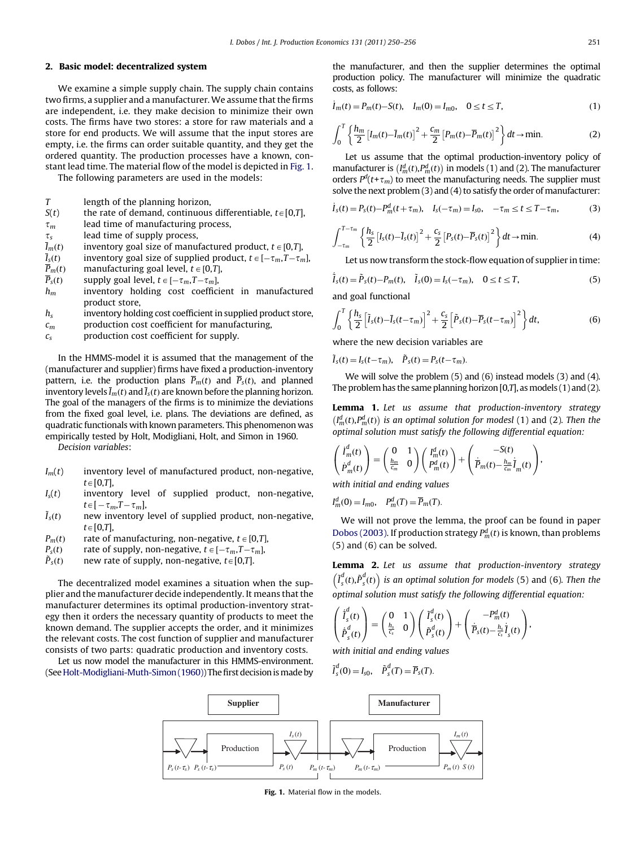#### 2. Basic model: decentralized system

We examine a simple supply chain. The supply chain contains two firms, a supplier and a manufacturer. We assume that the firms are independent, i.e. they make decision to minimize their own costs. The firms have two stores: a store for raw materials and a store for end products. We will assume that the input stores are empty, i.e. the firms can order suitable quantity, and they get the ordered quantity. The production processes have a known, constant lead time. The material flow of the model is depicted in Fig. 1.

The following parameters are used in the models:

- T length of the planning horizon,
- $S(t)$  the rate of demand, continuous differentiable,  $t \in [0,T]$ ,
- $\tau_m$  lead time of manufacturing process,
- $\tau_s$  lead time of supply process,<br> $\bar{I}_m(t)$  inventory goal size of manu
- $\bar{I}_m(t)$  inventory goal size of manufactured product,  $t \in [0,T]$ ,<br>  $\bar{I}_s(t)$  inventory goal size of supplied product,  $t \in [-\tau_m, T-\tau_m]$
- $\overline{I}_s(t)$  inventory goal size of supplied product,  $t \in [-\tau_m, T-\tau_m]$ , <br>  $\overline{P}_m(t)$  manufacturing goal level,  $t \in [0,T]$ ,
- manufacturing goal level,  $t \in [0, T]$ ,
- 
- $\overline{P}_s(t)$  supply goal level,  $t \in [-\tau_m, T-\tau_m]$ ,<br>  $h_m$  inventory holding cost coeffici inventory holding cost coefficient in manufactured product store,
- $h<sub>s</sub>$  inventory holding cost coefficient in supplied product store,
- $c_m$  production cost coefficient for manufacturing,
- $c_s$  production cost coefficient for supply.

In the HMMS-model it is assumed that the management of the (manufacturer and supplier) firms have fixed a production-inventory pattern, i.e. the production plans  $\overline{P}_m(t)$  and  $\overline{P}_s(t)$ , and planned inventory levels  $\bar{I}_m(t)$  and  $\bar{I}_s(t)$  are known before the planning horizon. The goal of the managers of the firms is to minimize the deviations from the fixed goal level, i.e. plans. The deviations are defined, as quadratic functionals with known parameters. This phenomenon was empirically tested by Holt, Modigliani, Holt, and Simon in 1960.

Decision variables:

- $I_m(t)$  inventory level of manufactured product, non-negative,  $t\in[0,T]$ ,
- $I_s(t)$  inventory level of supplied product, non-negative,  $t\in[-\tau_m,T-\tau_m],$
- $\tilde{I}_s(t)$ new inventory level of supplied product, non-negative,  $t\in[0,T],$
- $P_m(t)$  rate of manufacturing, non-negative,  $t \in [0,T]$ ,
- $P_s(t)$  rate of supply, non-negative,  $t \in [-\tau_m, T-\tau_m]$ ,
- $\tilde{P}_s(t)$ new rate of supply, non-negative,  $t \in [0,T]$ .

The decentralized model examines a situation when the supplier and the manufacturer decide independently. It means that the manufacturer determines its optimal production-inventory strategy then it orders the necessary quantity of products to meet the known demand. The supplier accepts the order, and it minimizes the relevant costs. The cost function of supplier and manufacturer consists of two parts: quadratic production and inventory costs.

Let us now model the manufacturer in this HMMS-environment. (See [Holt-Modigliani-Muth-Simon \(1960\)](#page--1-0)) The first decision is made by the manufacturer, and then the supplier determines the optimal production policy. The manufacturer will minimize the quadratic costs, as follows:

$$
\dot{I}_m(t) = P_m(t) - S(t), \quad I_m(0) = I_{m0}, \quad 0 \le t \le T,
$$
\n(1)

$$
\int_0^T \left\{ \frac{h_m}{2} \left[ I_m(t) - \overline{I}_m(t) \right]^2 + \frac{c_m}{2} \left[ P_m(t) - \overline{P}_m(t) \right]^2 \right\} dt \to \text{min.}
$$
 (2)

Let us assume that the optimal production-inventory policy of manufacturer is  $\left(I_m^d(t), P_m^d(t)\right)$  in models (1) and (2). The manufacturer orders  $P^{d}(t+\tau_{m})$  to meet the manufacturing needs. The supplier must solve the next problem (3) and (4) to satisfy the order of manufacturer:

$$
\dot{I}_s(t) = P_s(t) - P_m^d(t + \tau_m), \quad I_s(-\tau_m) = I_{s0}, \quad -\tau_m \le t \le T - \tau_m,
$$
 (3)

$$
\int_{-\tau_m}^{T-\tau_m} \left\{ \frac{h_s}{2} \left[ I_s(t) - \bar{I}_s(t) \right]^2 + \frac{c_s}{2} \left[ P_s(t) - \bar{P}_s(t) \right]^2 \right\} dt \to \text{min.}
$$
 (4)

Let us now transform the stock-flow equation of supplier in time:

$$
\dot{\tilde{I}}_s(t) = \tilde{P}_s(t) - P_m(t), \quad \tilde{I}_s(0) = I_s(-\tau_m), \quad 0 \le t \le T,
$$
\n(5)

and goal functional

$$
\int_0^T \left\{ \frac{h_s}{2} \left[ \tilde{I}_s(t) - \bar{I}_s(t - \tau_m) \right]^2 + \frac{c_s}{2} \left[ \tilde{P}_s(t) - \overline{P}_s(t - \tau_m) \right]^2 \right\} dt, \tag{6}
$$

where the new decision variables are

 $\tilde{I}_s(t) = I_s(t-\tau_m), \quad \tilde{P}_s(t) = P_s(t-\tau_m).$ 

We will solve the problem (5) and (6) instead models (3) and (4). The problem has the same planning horizon  $[0,T]$ , as models  $(1)$  and  $(2)$ .

Lemma 1. Let us assume that production-inventory strategy  $(I_m^d(t), P_m^d(t))$  is an optimal solution for modesl (1) and (2). Then the optimal solution must satisfy the following differential equation:

$$
\left(\begin{matrix} \dot{I}_m^d(t) \\ \dot{P}_m^d(t) \end{matrix}\right) = \left(\begin{matrix} 0 & 1 \\ \frac{h_m}{c_m} & 0 \end{matrix}\right) \left(\begin{matrix} I_m^d(t) \\ P_m^d(t) \end{matrix}\right) + \left(\begin{matrix} -S(t) \\ \dot{P}_m(t) - \frac{h_m}{c_m} \dot{I}_m(t) \end{matrix}\right),
$$

with initial and ending values

$$
I_m^d(0) = I_{m0}, \quad P_m^d(T) = \overline{P}_m(T).
$$

We will not prove the lemma, the proof can be found in paper [Dobos \(2003\)](#page--1-0). If production strategy  $P_m^d(t)$  is known, than problems (5) and (6) can be solved.

Lemma 2. Let us assume that production-inventory strategy  $\left(\tilde{I}_s^d(t), \tilde{P}_s^d(t)\right)$  is an optimal solution for models (5) and (6). Then the optimal solution must satisfy the following differential equation:

$$
\left(\begin{matrix}\dot{I}^d_s(t)\\ \dot{\tilde{P}}^d_s(t)\\ \dot{\tilde{P}}^d_s(t)\end{matrix}\right)=\left(\begin{matrix}0 & 1\\ \frac{h_s}{c_s} & 0\end{matrix}\right)\left(\begin{matrix}\tilde{I}^d_s(t)\\ \tilde{P}^d_s(t)\end{matrix}\right)+\left(\begin{matrix}-P^d_m(t)\\ \dot{\overline{P}}_s(t)-\frac{h_s}{c_s}\tilde{I}_s(t)\end{matrix}\right),
$$

with initial and ending values

$$
\tilde{I}_s^d(0) = I_{s0}, \quad \tilde{P}_s^d(T) = \overline{P}_s(T).
$$



Fig. 1. Material flow in the models.